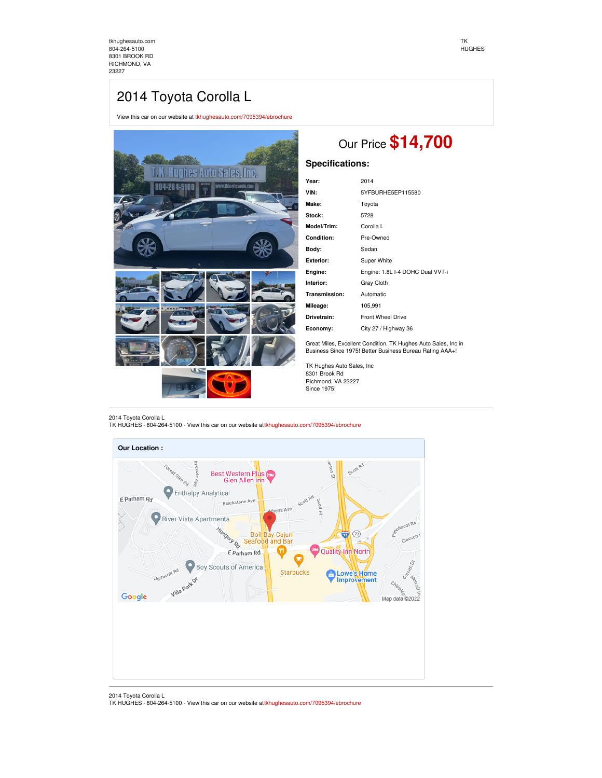[tkhughesauto.com](https://tkhughesauto.com/) [804-264-5100](tel:804-264-5100) 8301 BROOK RD RICHMOND, VA 23227

# 2014 Toyota Corolla L

View this car on our website at [tkhughesauto.com/7095394/ebrochure](https://tkhughesauto.com/vehicle/7095394/2014-toyota-corolla-l-richmond-va-23227/7095394/ebrochure)



2014 Toyota Corolla L

TK HUGHES - 804-264-5100 - View this car on our website at[tkhughesauto.com/7095394/ebrochure](https://tkhughesauto.com/vehicle/7095394/2014-toyota-corolla-l-richmond-va-23227/7095394/ebrochure)



2014 Toyota Corolla L TK HUGHES - 804-264-5100 - View this car on our website at[tkhughesauto.com/7095394/ebrochure](https://tkhughesauto.com/vehicle/7095394/2014-toyota-corolla-l-richmond-va-23227/7095394/ebrochure)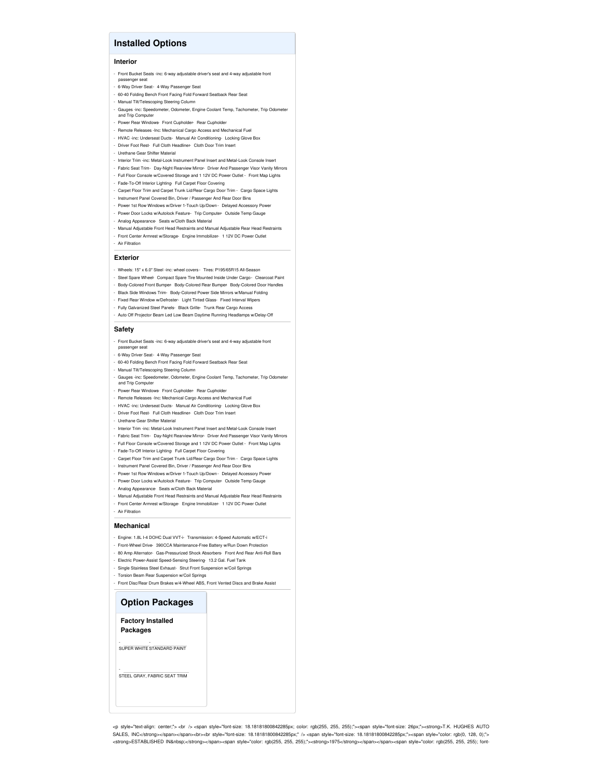# **Installed Options**

#### **Interior**

- Front Bucket Seats -inc: 6-way adjustable driver's seat and 4-way adjustable front
- passenger seat - 6-Way Driver Seat- 4-Way Passenger Seat
- 60-40 Folding Bench Front Facing Fold Forward Seatback Rear Seat
- Manual Tilt/Telescoping Steering Column
- Gauges -inc: Speedometer, Odometer, Engine Coolant Temp, Tachometer, Trip Odometer and Trip Computer - Power Rear Windows- Front Cupholder- Rear Cupholder
- Remote Releases -Inc: Mechanical Cargo Access and Mechanical Fuel
- HVAC -inc: Underseat Ducts- Manual Air Conditioning- Locking Glove Box
- Driver Foot Rest- Full Cloth Headliner- Cloth Door Trim Insert
- Urethane Gear Shifter Material
- Interior Trim -inc: Metal-Look Instrument Panel Insert and Metal-Look Console Insert
- Fabric Seat Trim- Day-Night Rearview Mirror- Driver And Passenger Visor Vanity Mirrors
- Full Floor Console w/Covered Storage and 1 12V DC Power Outlet Front Map Lights
- Fade-To-Off Interior Lighting- Full Carpet Floor Covering
- Carpet Floor Trim and Carpet Trunk Lid/Rear Cargo Door Trim Cargo Space Lights - Instrument Panel Covered Bin, Driver / Passenger And Rear Door Bins
- 
- Power 1st Row Windows w/Driver 1-Touch Up/Down Delayed Accessory Power - Power Door Locks w/Autolock Feature- Trip Computer- Outside Temp Gauge
- Analog Appearance- Seats w/Cloth Back Material
- 
- Manual Adjustable Front Head Restraints and Manual Adjustable Rear Head Restraints - Front Center Armrest w/Storage- Engine Immobilizer- 1 12V DC Power Outlet
- Air Filtration

#### **Exterior**

- Wheels: 15" x 6.0" Steel -inc: wheel covers Tires: P195/65R15 All-Season
- Steel Spare Wheel- Compact Spare Tire Mounted Inside Under Cargo- Clearcoat Paint
- Body-Colored Front Bumper- Body-Colored Rear Bumper- Body-Colored Door Handles
- Black Side Windows Trim- Body-Colored Power Side Mirrors w/Manual Folding
- Fixed Rear Window w/Defroster- Light Tinted Glass- Fixed Interval Wiper
- Fully Galvanized Steel Panels- Black Grille- Trunk Rear Cargo Access
- Auto Off Projector Beam Led Low Beam Daytime Running Headlamps w/Delay-Off

## **Safety**

- Front Bucket Seats -inc: 6-way adjustable driver's seat and 4-way adjustable front senger seat
- 6-Way Driver Seat- 4-Way Passenger Seat
- 60-40 Folding Bench Front Facing Fold Forward Seatback Rear Seat
- Manual Tilt/Telescoping Steering Column
- Gauges -inc: Speedometer, Odometer, Engine Coolant Temp, Tachometer, Trip Odometer and Trip Computer
- Power Rear Windows- Front Cupholder- Rear Cupholder
- Remote Releases -Inc: Mechanical Cargo Access and Mechanical Fuel
- HVAC -inc: Underseat Ducts- Manual Air Conditioning- Locking Glove Box
- Driver Foot Rest- Full Cloth Headliner- Cloth Door Trim Insert
- Urethane Gear Shifter Material
- Interior Trim -inc: Metal-Look Instrument Panel Insert and Metal-Look Console Insert
- Fabric Seat Trim- Day-Night Rearview Mirror- Driver And Passenger Visor Vanity Mirrors
- Full Floor Console w/Covered Storage and 1 12V DC Power Outlet Front Map Lights
- Fade-To-Off Interior Lighting- Full Carpet Floor Covering
- Carpet Floor Trim and Carpet Trunk Lid/Rear Cargo Door Trim Cargo Space Lights
- Instrument Panel Covered Bin, Driver / Passenger And Rear Door Bins
- Power 1st Row Windows w/Driver 1-Touch Up/Down Delayed Accessory Power
- Power Door Locks w/Autolock Feature- Trip Computer- Outside Temp Gauge
- Analog Appearance- Seats w/Cloth Back Material
- Manual Adjustable Front Head Restraints and Manual Adjustable Rear Head Restraints
- Front Center Armrest w/Storage- Engine Immobilizer- 1 12V DC Power Outlet - Air Filtration

#### **Mechanical**

- Engine: 1.8L I-4 DOHC Dual VVT-i- Transmission: 4-Speed Automatic w/ECT-i
- -<br>Front-Wheel Drive- 390CCA Maintenance-Free Battery w/Run Down Prot
- 80 Amp Alternator- Gas-Pressurized Shock Absorbers- Front And Rear Anti-Roll Bars
- Electric Power-Assist Speed-Sensing Steering- 13.2 Gal. Fuel Tank
- Single Stainless Steel Exhaust- Strut Front Suspension w/Coil Springs
- Torsion Beam Rear Suspension w/Coil Springs
- Front Disc/Rear Drum Brakes w/4-Wheel ABS, Front Vented Discs and Brake Assist

## **Option Packages**

**Factory Installed Packages**

-<br>SUPER WHITE STANDARD PAINT

STEEL GRAY, FABRIC SEAT TRIM

-

<p style="text-align: center;"> <br /> <span style="font-size: 18.18181800842285px; color: rgb(255, 255, 255);"><span style="font-size: 26px;"><strong>T.K. HUGHES AUTO SALES, INC</strong></span></span><br><br style="font-size: 18.18181800842285px;" /> <span style="font-size: 18.18181800842285px;"><span style="color: rgb(0, 128, 0);"> <strong>ESTABLISHED IN&nbsp;</strong></span><span style="color: rgb(255, 255, 255);"><strong>1975</strong></span></span><span style="color: rgb(255, 255, 255); font-